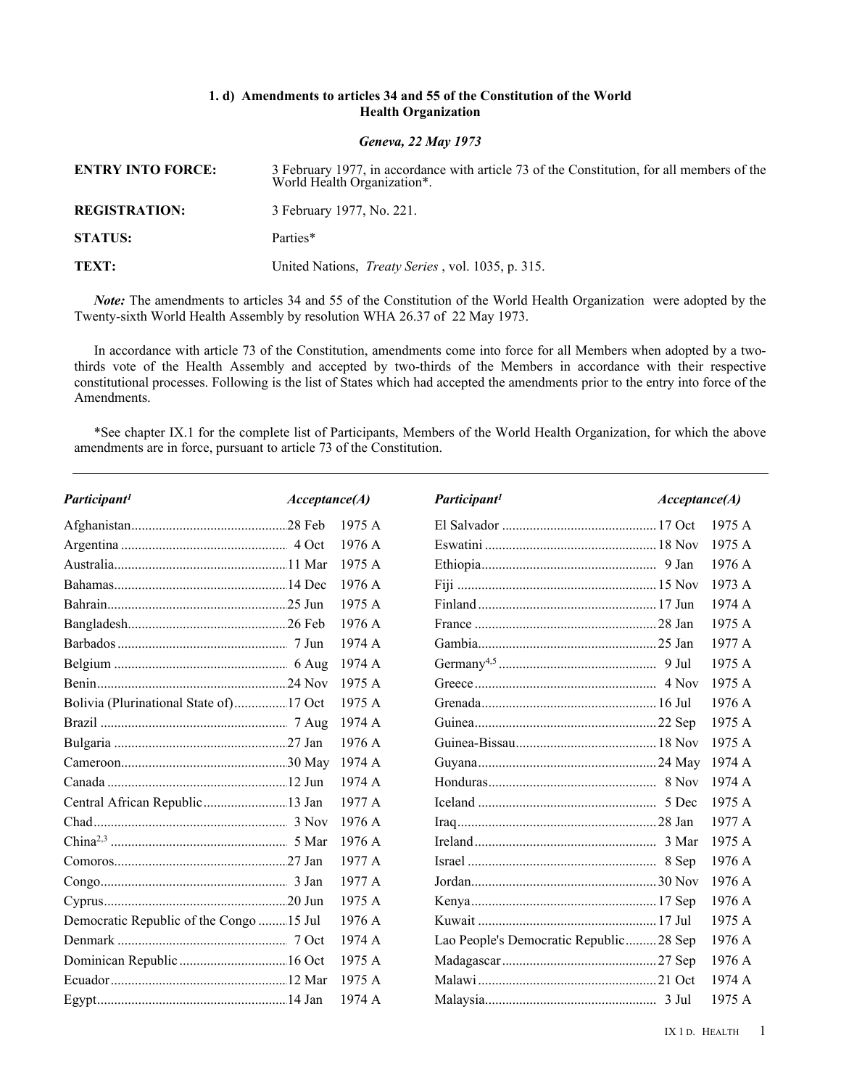## **1. d) Amendments to articles 34 and 55 of the Constitution of the World Health Organization**

*Geneva, 22 May 1973*

| <b>ENTRY INTO FORCE:</b> | 3 February 1977, in accordance with article 73 of the Constitution, for all members of the World Health Organization*. |
|--------------------------|------------------------------------------------------------------------------------------------------------------------|
| <b>REGISTRATION:</b>     | 3 February 1977, No. 221.                                                                                              |
| <b>STATUS:</b>           | Parties*                                                                                                               |
| TEXT:                    | United Nations, <i>Treaty Series</i> , vol. 1035, p. 315.                                                              |

*Note:* The amendments to articles 34 and 55 of the Constitution of the World Health Organization were adopted by the Twenty-sixth World Health Assembly by resolution WHA 26.37 of 22 May 1973.

In accordance with article 73 of the Constitution, amendments come into force for all Members when adopted by a twothirds vote of the Health Assembly and accepted by two-thirds of the Members in accordance with their respective constitutional processes. Following is the list of States which had accepted the amendments prior to the entry into force of the Amendments.

\*See chapter IX.1 for the complete list of Participants, Members of the World Health Organization, for which the above amendments are in force, pursuant to article 73 of the Constitution.

| Participant <sup>1</sup>                 | Acceptance(A) |        | Participant <sup>1</sup>               | Acceptance(A) |        |
|------------------------------------------|---------------|--------|----------------------------------------|---------------|--------|
|                                          |               | 1975 A |                                        |               | 1975A  |
|                                          |               | 1976A  |                                        |               | 1975 A |
|                                          |               | 1975A  |                                        |               | 1976A  |
|                                          |               | 1976A  |                                        |               | 1973 A |
|                                          |               | 1975A  |                                        |               | 1974 A |
|                                          |               | 1976 A |                                        |               | 1975A  |
|                                          |               | 1974 A |                                        |               | 1977 A |
|                                          |               | 1974 A |                                        |               | 1975 A |
|                                          |               | 1975 A |                                        |               | 1975A  |
| Bolivia (Plurinational State of) 17 Oct  |               | 1975A  |                                        |               | 1976 A |
|                                          |               | 1974 A |                                        |               | 1975 A |
|                                          |               | 1976A  |                                        |               | 1975A  |
|                                          |               | 1974 A |                                        |               | 1974 A |
|                                          |               | 1974A  |                                        |               | 1974 A |
| Central African Republic 13 Jan          |               | 1977 A |                                        |               | 1975A  |
|                                          |               | 1976 A |                                        |               | 1977 A |
|                                          |               | 1976A  |                                        |               | 1975 A |
|                                          |               | 1977 A |                                        |               | 1976 A |
|                                          |               | 1977 A |                                        |               | 1976 A |
|                                          |               | 1975 A |                                        |               | 1976 A |
| Democratic Republic of the Congo  15 Jul |               | 1976A  |                                        |               | 1975A  |
|                                          |               | 1974 A | Lao People's Democratic Republic28 Sep |               | 1976 A |
| Dominican Republic  16 Oct               |               | 1975 A |                                        |               | 1976 A |
|                                          |               | 1975 A |                                        |               | 1974 A |
|                                          |               | 1974 A |                                        |               | 1975 A |